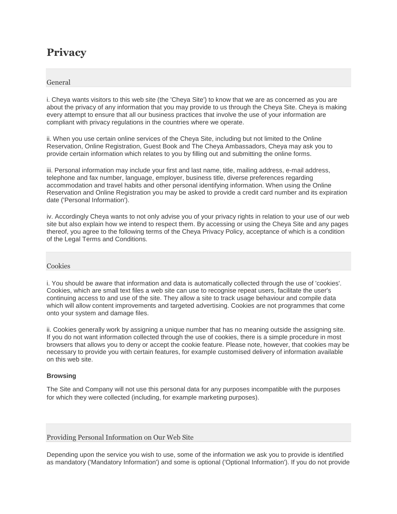# **Privacy**

## General

i. Cheya wants visitors to this web site (the 'Cheya Site') to know that we are as concerned as you are about the privacy of any information that you may provide to us through the Cheya Site. Cheya is making every attempt to ensure that all our business practices that involve the use of your information are compliant with privacy regulations in the countries where we operate.

ii. When you use certain online services of the Cheya Site, including but not limited to the Online Reservation, Online Registration, Guest Book and The Cheya Ambassadors, Cheya may ask you to provide certain information which relates to you by filling out and submitting the online forms.

iii. Personal information may include your first and last name, title, mailing address, e-mail address, telephone and fax number, language, employer, business title, diverse preferences regarding accommodation and travel habits and other personal identifying information. When using the Online Reservation and Online Registration you may be asked to provide a credit card number and its expiration date ('Personal Information').

iv. Accordingly Cheya wants to not only advise you of your privacy rights in relation to your use of our web site but also explain how we intend to respect them. By accessing or using the Cheya Site and any pages thereof, you agree to the following terms of the Cheya Privacy Policy, acceptance of which is a condition of the Legal Terms and Conditions.

### Cookies

i. You should be aware that information and data is automatically collected through the use of 'cookies'. Cookies, which are small text files a web site can use to recognise repeat users, facilitate the user's continuing access to and use of the site. They allow a site to track usage behaviour and compile data which will allow content improvements and targeted advertising. Cookies are not programmes that come onto your system and damage files.

ii. Cookies generally work by assigning a unique number that has no meaning outside the assigning site. If you do not want information collected through the use of cookies, there is a simple procedure in most browsers that allows you to deny or accept the cookie feature. Please note, however, that cookies may be necessary to provide you with certain features, for example customised delivery of information available on this web site.

### **Browsing**

The Site and Company will not use this personal data for any purposes incompatible with the purposes for which they were collected (including, for example marketing purposes).

Providing Personal Information on Our Web Site

Depending upon the service you wish to use, some of the information we ask you to provide is identified as mandatory ('Mandatory Information') and some is optional ('Optional Information'). If you do not provide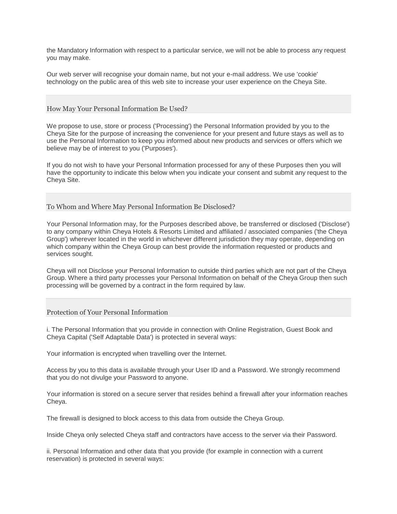the Mandatory Information with respect to a particular service, we will not be able to process any request you may make.

Our web server will recognise your domain name, but not your e-mail address. We use 'cookie' technology on the public area of this web site to increase your user experience on the Cheya Site.

#### How May Your Personal Information Be Used?

We propose to use, store or process ('Processing') the Personal Information provided by you to the Cheya Site for the purpose of increasing the convenience for your present and future stays as well as to use the Personal Information to keep you informed about new products and services or offers which we believe may be of interest to you ('Purposes').

If you do not wish to have your Personal Information processed for any of these Purposes then you will have the opportunity to indicate this below when you indicate your consent and submit any request to the Cheya Site.

To Whom and Where May Personal Information Be Disclosed?

Your Personal Information may, for the Purposes described above, be transferred or disclosed ('Disclose') to any company within Cheya Hotels & Resorts Limited and affiliated / associated companies ('the Cheya Group') wherever located in the world in whichever different jurisdiction they may operate, depending on which company within the Cheya Group can best provide the information requested or products and services sought.

Cheya will not Disclose your Personal Information to outside third parties which are not part of the Cheya Group. Where a third party processes your Personal Information on behalf of the Cheya Group then such processing will be governed by a contract in the form required by law.

#### Protection of Your Personal Information

i. The Personal Information that you provide in connection with Online Registration, Guest Book and Cheya Capital ('Self Adaptable Data') is protected in several ways:

Your information is encrypted when travelling over the Internet.

Access by you to this data is available through your User ID and a Password. We strongly recommend that you do not divulge your Password to anyone.

Your information is stored on a secure server that resides behind a firewall after your information reaches Cheya.

The firewall is designed to block access to this data from outside the Cheya Group.

Inside Cheya only selected Cheya staff and contractors have access to the server via their Password.

ii. Personal Information and other data that you provide (for example in connection with a current reservation) is protected in several ways: